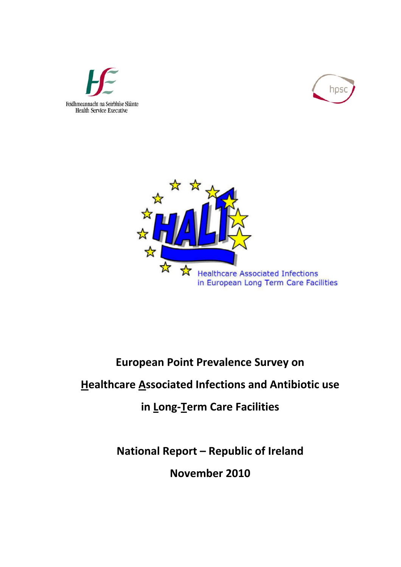





# **European Point Prevalence Survey on**

## **Healthcare Associated Infections and Antibiotic use**

## **in Long‐Term Care Facilities**

**National Report – Republic of Ireland November 2010**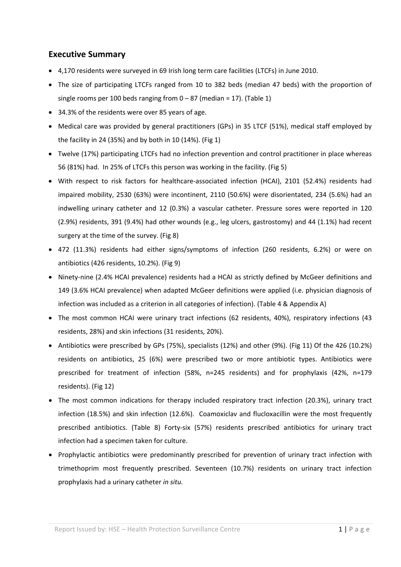## **Executive Summary**

- 4,170 residents were surveyed in 69 Irish long term care facilities (LTCFs) in June 2010.
- The size of participating LTCFs ranged from 10 to 382 beds (median 47 beds) with the proportion of single rooms per 100 beds ranging from  $0 - 87$  (median = 17). (Table 1)
- 34.3% of the residents were over 85 years of age.
- Medical care was provided by general practitioners (GPs) in 35 LTCF (51%), medical staff employed by the facility in 24 (35%) and by both in 10 (14%). (Fig 1)
- Twelve (17%) participating LTCFs had no infection prevention and control practitioner in place whereas 56 (81%) had. In 25% of LTCFs this person was working in the facility. (Fig 5)
- With respect to risk factors for healthcare‐associated infection (HCAI), 2101 (52.4%) residents had impaired mobility, 2530 (63%) were incontinent, 2110 (50.6%) were disorientated, 234 (5.6%) had an indwelling urinary catheter and 12 (0.3%) a vascular catheter. Pressure sores were reported in 120 (2.9%) residents, 391 (9.4%) had other wounds (e.g., leg ulcers, gastrostomy) and 44 (1.1%) had recent surgery at the time of the survey. (Fig 8)
- 472 (11.3%) residents had either signs/symptoms of infection (260 residents, 6.2%) or were on antibiotics (426 residents, 10.2%). (Fig 9)
- Ninety‐nine (2.4% HCAI prevalence) residents had a HCAI as strictly defined by McGeer definitions and 149 (3.6% HCAI prevalence) when adapted McGeer definitions were applied (i.e. physician diagnosis of infection was included as a criterion in all categories of infection). (Table 4 & Appendix A)
- The most common HCAI were urinary tract infections (62 residents, 40%), respiratory infections (43 residents, 28%) and skin infections (31 residents, 20%).
- Antibiotics were prescribed by GPs (75%), specialists (12%) and other (9%). (Fig 11) Of the 426 (10.2%) residents on antibiotics, 25 (6%) were prescribed two or more antibiotic types. Antibiotics were prescribed for treatment of infection (58%, n=245 residents) and for prophylaxis (42%, n=179 residents). (Fig 12)
- The most common indications for therapy included respiratory tract infection (20.3%), urinary tract infection (18.5%) and skin infection (12.6%). Coamoxiclav and flucloxacillin were the most frequently prescribed antibiotics. (Table 8) Forty‐six (57%) residents prescribed antibiotics for urinary tract infection had a specimen taken for culture.
- Prophylactic antibiotics were predominantly prescribed for prevention of urinary tract infection with trimethoprim most frequently prescribed. Seventeen (10.7%) residents on urinary tract infection prophylaxis had a urinary catheter *in situ.*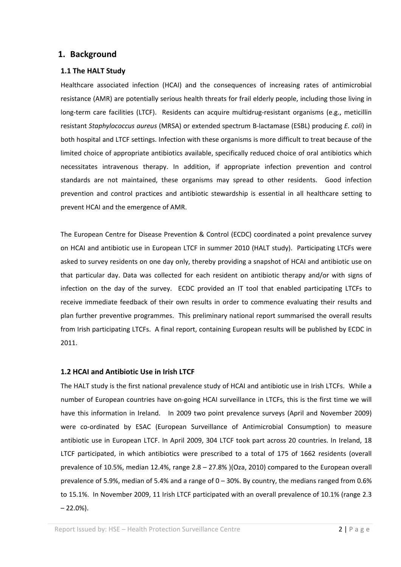## **1. Background**

#### **1.1 The HALT Study**

Healthcare associated infection (HCAI) and the consequences of increasing rates of antimicrobial resistance (AMR) are potentially serious health threats for frail elderly people, including those living in long-term care facilities (LTCF). Residents can acquire multidrug-resistant organisms (e.g., meticillin resistant *Staphylococcus aureus* (MRSA) or extended spectrum B‐lactamase (ESBL) producing *E. coli*) in both hospital and LTCF settings. Infection with these organisms is more difficult to treat because of the limited choice of appropriate antibiotics available, specifically reduced choice of oral antibiotics which necessitates intravenous therapy. In addition, if appropriate infection prevention and control standards are not maintained, these organisms may spread to other residents. Good infection prevention and control practices and antibiotic stewardship is essential in all healthcare setting to prevent HCAI and the emergence of AMR.

The European Centre for Disease Prevention & Control (ECDC) coordinated a point prevalence survey on HCAI and antibiotic use in European LTCF in summer 2010 (HALT study). Participating LTCFs were asked to survey residents on one day only, thereby providing a snapshot of HCAI and antibiotic use on that particular day. Data was collected for each resident on antibiotic therapy and/or with signs of infection on the day of the survey. ECDC provided an IT tool that enabled participating LTCFs to receive immediate feedback of their own results in order to commence evaluating their results and plan further preventive programmes. This preliminary national report summarised the overall results from Irish participating LTCFs. A final report, containing European results will be published by ECDC in 2011.

#### **1.2 HCAI and Antibiotic Use in Irish LTCF**

The HALT study is the first national prevalence study of HCAI and antibiotic use in Irish LTCFs. While a number of European countries have on‐going HCAI surveillance in LTCFs, this is the first time we will have this information in Ireland. In 2009 two point prevalence surveys (April and November 2009) were co-ordinated by ESAC (European Surveillance of Antimicrobial Consumption) to measure antibiotic use in European LTCF. In April 2009, 304 LTCF took part across 20 countries. In Ireland, 18 LTCF participated, in which antibiotics were prescribed to a total of 175 of 1662 residents (overall prevalence of 10.5%, median 12.4%, range 2.8 – 27.8% )(Oza, 2010) compared to the European overall prevalence of 5.9%, median of 5.4% and a range of  $0-30%$ . By country, the medians ranged from 0.6% to 15.1%. In November 2009, 11 Irish LTCF participated with an overall prevalence of 10.1% (range 2.3  $-22.0%$ ).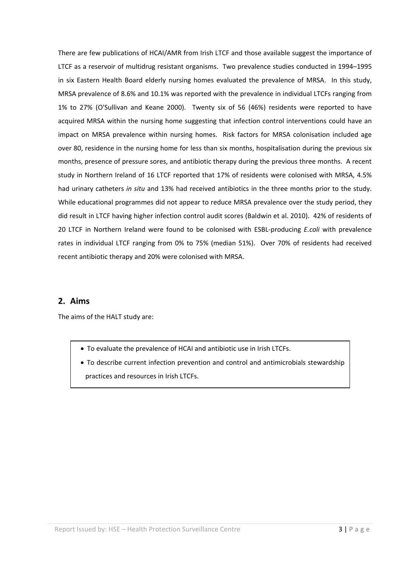There are few publications of HCAI/AMR from Irish LTCF and those available suggest the importance of LTCF as a reservoir of multidrug resistant organisms. Two prevalence studies conducted in 1994–1995 in six Eastern Health Board elderly nursing homes evaluated the prevalence of MRSA. In this study, MRSA prevalence of 8.6% and 10.1% was reported with the prevalence in individual LTCFs ranging from 1% to 27% (O'Sullivan and Keane 2000). Twenty six of 56 (46%) residents were reported to have acquired MRSA within the nursing home suggesting that infection control interventions could have an impact on MRSA prevalence within nursing homes. Risk factors for MRSA colonisation included age over 80, residence in the nursing home for less than six months, hospitalisation during the previous six months, presence of pressure sores, and antibiotic therapy during the previous three months. A recent study in Northern Ireland of 16 LTCF reported that 17% of residents were colonised with MRSA, 4.5% had urinary catheters *in situ* and 13% had received antibiotics in the three months prior to the study. While educational programmes did not appear to reduce MRSA prevalence over the study period, they did result in LTCF having higher infection control audit scores (Baldwin et al. 2010). 42% of residents of 20 LTCF in Northern Ireland were found to be colonised with ESBL‐producing *E.coli* with prevalence rates in individual LTCF ranging from 0% to 75% (median 51%). Over 70% of residents had received recent antibiotic therapy and 20% were colonised with MRSA.

## **2. Aims**

The aims of the HALT study are:

- To evaluate the prevalence of HCAI and antibiotic use in Irish LTCFs.
- To describe current infection prevention and control and antimicrobials stewardship practices and resources in Irish LTCFs.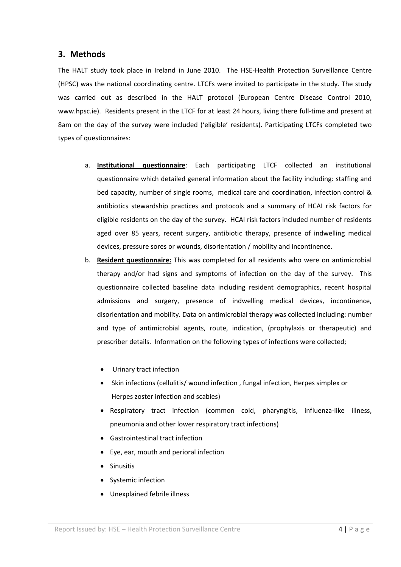## **3. Methods**

The HALT study took place in Ireland in June 2010. The HSE-Health Protection Surveillance Centre (HPSC) was the national coordinating centre. LTCFs were invited to participate in the study. The study was carried out as described in the HALT protocol (European Centre Disease Control 2010, www.hpsc.ie). Residents present in the LTCF for at least 24 hours, living there full-time and present at 8am on the day of the survey were included ('eligible' residents). Participating LTCFs completed two types of questionnaires:

- a. **Institutional questionnaire**: Each participating LTCF collected an institutional questionnaire which detailed general information about the facility including: staffing and bed capacity, number of single rooms, medical care and coordination, infection control & antibiotics stewardship practices and protocols and a summary of HCAI risk factors for eligible residents on the day of the survey. HCAI risk factors included number of residents aged over 85 years, recent surgery, antibiotic therapy, presence of indwelling medical devices, pressure sores or wounds, disorientation / mobility and incontinence.
- b. **Resident questionnaire:** This was completed for all residents who were on antimicrobial therapy and/or had signs and symptoms of infection on the day of the survey. This questionnaire collected baseline data including resident demographics, recent hospital admissions and surgery, presence of indwelling medical devices, incontinence, disorientation and mobility. Data on antimicrobial therapy was collected including: number and type of antimicrobial agents, route, indication, (prophylaxis or therapeutic) and prescriber details. Information on the following types of infections were collected;
	- Urinary tract infection
	- Skin infections (cellulitis/ wound infection , fungal infection, Herpes simplex or Herpes zoster infection and scabies)
	- Respiratory tract infection (common cold, pharyngitis, influenza‐like illness, pneumonia and other lower respiratory tract infections)
	- Gastrointestinal tract infection
	- Eye, ear, mouth and perioral infection
	- Sinusitis
	- Systemic infection
	- Unexplained febrile illness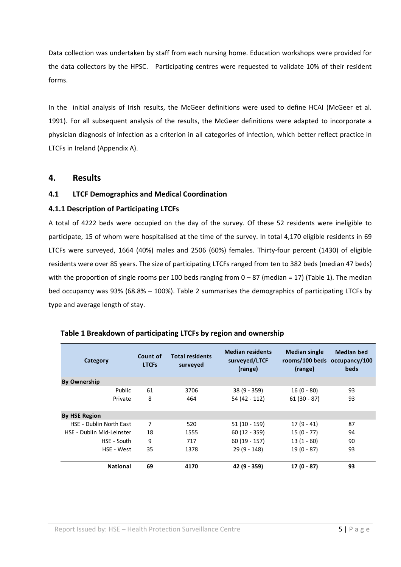Data collection was undertaken by staff from each nursing home. Education workshops were provided for the data collectors by the HPSC. Participating centres were requested to validate 10% of their resident forms.

In the initial analysis of Irish results, the McGeer definitions were used to define HCAI (McGeer et al. 1991). For all subsequent analysis of the results, the McGeer definitions were adapted to incorporate a physician diagnosis of infection as a criterion in all categories of infection, which better reflect practice in LTCFs in Ireland (Appendix A).

### **4. Results**

#### **4.1 LTCF Demographics and Medical Coordination**

### **4.1.1 Description of Participating LTCFs**

A total of 4222 beds were occupied on the day of the survey. Of these 52 residents were ineligible to participate, 15 of whom were hospitalised at the time of the survey. In total 4,170 eligible residents in 69 LTCFs were surveyed, 1664 (40%) males and 2506 (60%) females. Thirty-four percent (1430) of eligible residents were over 85 years. The size of participating LTCFs ranged from ten to 382 beds (median 47 beds) with the proportion of single rooms per 100 beds ranging from  $0 - 87$  (median = 17) (Table 1). The median bed occupancy was 93% (68.8% – 100%). Table 2 summarises the demographics of participating LTCFs by type and average length of stay.

| Category                       | Count of<br><b>LTCFs</b> | <b>Total residents</b><br>surveyed | <b>Median residents</b><br>surveyed/LTCF<br>(range) | <b>Median single</b><br>rooms/100 beds occupancy/100<br>(range) | <b>Median bed</b><br>beds |
|--------------------------------|--------------------------|------------------------------------|-----------------------------------------------------|-----------------------------------------------------------------|---------------------------|
| <b>By Ownership</b>            |                          |                                    |                                                     |                                                                 |                           |
| Public                         | 61                       | 3706                               | $38(9 - 359)$                                       | $16(0 - 80)$                                                    | 93                        |
| Private                        | 8                        | 464                                | 54 (42 - 112)                                       | $61(30 - 87)$                                                   | 93                        |
|                                |                          |                                    |                                                     |                                                                 |                           |
| <b>By HSE Region</b>           |                          |                                    |                                                     |                                                                 |                           |
| <b>HSE - Dublin North East</b> | 7                        | 520                                | $51(10 - 159)$                                      | $17(9-41)$                                                      | 87                        |
| HSF - Dublin Mid-Leinster      | 18                       | 1555                               | $60(12 - 359)$                                      | $15(0 - 77)$                                                    | 94                        |
| HSE - South                    | 9                        | 717                                | $60(19 - 157)$                                      | $13(1 - 60)$                                                    | 90                        |
| HSE - West                     | 35                       | 1378                               | $29(9 - 148)$                                       | $19(0 - 87)$                                                    | 93                        |
| <b>National</b>                | 69                       | 4170                               | 42 (9 - 359)                                        | $17(0 - 87)$                                                    | 93                        |

#### **Table 1 Breakdown of participating LTCFs by region and ownership**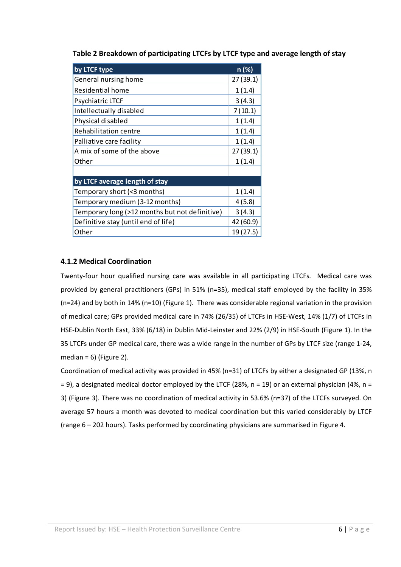**Table 2 Breakdown of participating LTCFs by LTCF type and average length of stay**

| by LTCF type                                   | n (%)     |
|------------------------------------------------|-----------|
| General nursing home                           | 27 (39.1) |
| Residential home                               | 1(1.4)    |
| Psychiatric LTCF                               | 3(4.3)    |
| Intellectually disabled                        | 7(10.1)   |
| Physical disabled                              | 1(1.4)    |
| Rehabilitation centre                          | 1(1.4)    |
| Palliative care facility                       | 1(1.4)    |
| A mix of some of the above                     | 27 (39.1) |
| Other                                          | 1(1.4)    |
|                                                |           |
| by LTCF average length of stay                 |           |
| Temporary short (<3 months)                    | 1(1.4)    |
| Temporary medium (3-12 months)                 | 4(5.8)    |
| Temporary long (>12 months but not definitive) | 3(4.3)    |
| Definitive stay (until end of life)            | 42 (60.9) |
| Other                                          | 19 (27.5) |

## **4.1.2 Medical Coordination**

Twenty‐four hour qualified nursing care was available in all participating LTCFs*.*  Medical care was provided by general practitioners (GPs) in 51% (n=35), medical staff employed by the facility in 35% (n=24) and by both in 14% (n=10) (Figure 1). There was considerable regional variation in the provision of medical care; GPs provided medical care in 74% (26/35) of LTCFs in HSE‐West, 14% (1/7) of LTCFs in HSE‐Dublin North East, 33% (6/18) in Dublin Mid‐Leinster and 22% (2/9) in HSE‐South (Figure 1). In the 35 LTCFs under GP medical care, there was a wide range in the number of GPs by LTCF size (range 1‐24, median =  $6$ ) (Figure 2).

Coordination of medical activity was provided in 45% (n=31) of LTCFs by either a designated GP (13%, n  $= 9$ ), a designated medical doctor employed by the LTCF (28%, n = 19) or an external physician (4%, n = 3) (Figure 3). There was no coordination of medical activity in 53.6% (n=37) of the LTCFs surveyed. On average 57 hours a month was devoted to medical coordination but this varied considerably by LTCF (range 6 – 202 hours). Tasks performed by coordinating physicians are summarised in Figure 4.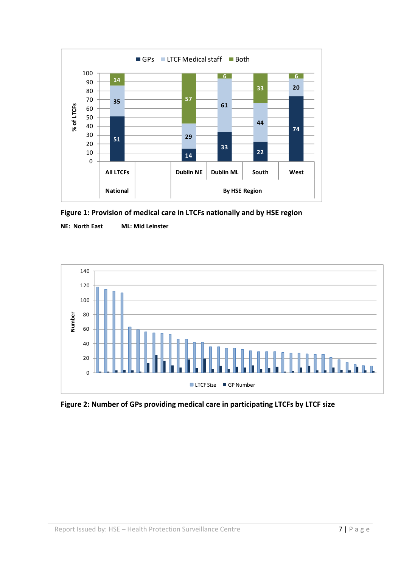

**Figure 1: Provision of medical care in LTCFs nationally and by HSE region**

**NE: North East ML: Mid Leinster**



**Figure 2: Number of GPs providing medical care in participating LTCFs by LTCF size**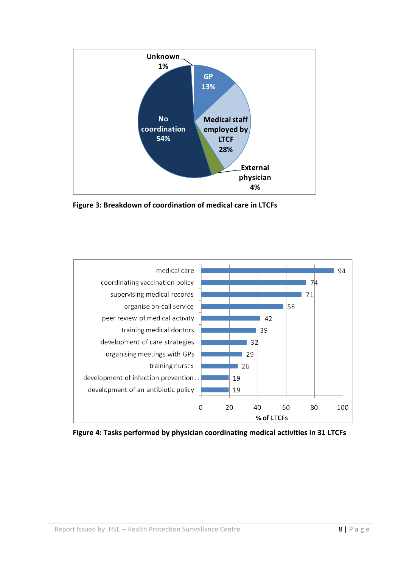

**Figure 3: Breakdown of coordination of medical care in LTCFs**



**Figure 4: Tasks performed by physician coordinating medical activities in 31 LTCFs**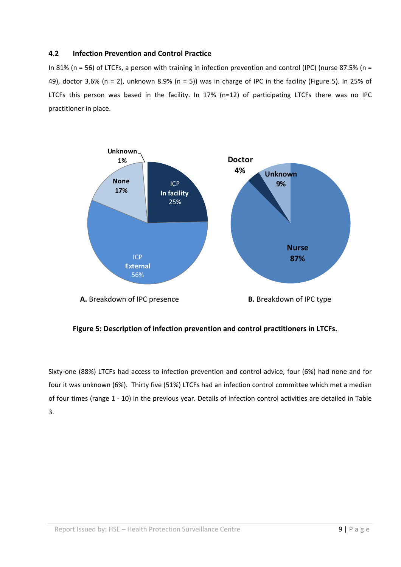#### **4.2 Infection Prevention and Control Practice**

In 81% (n = 56) of LTCFs, a person with training in infection prevention and control (IPC) (nurse 87.5% (n = 49), doctor 3.6% (n = 2), unknown 8.9% (n = 5)) was in charge of IPC in the facility (Figure 5). In 25% of LTCFs this person was based in the facility. In 17% (n=12) of participating LTCFs there was no IPC practitioner in place.



**Figure 5: Description of infection prevention and control practitioners in LTCFs.**

Sixty-one (88%) LTCFs had access to infection prevention and control advice, four (6%) had none and for four it was unknown (6%). Thirty five (51%) LTCFs had an infection control committee which met a median of four times (range 1 ‐ 10) in the previous year. Details of infection control activities are detailed in Table 3.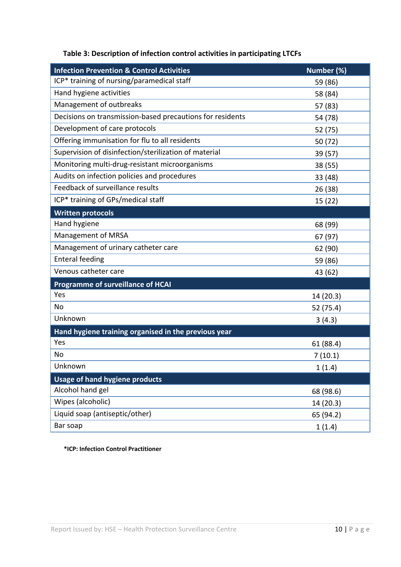| <b>Infection Prevention &amp; Control Activities</b>      | Number (%) |
|-----------------------------------------------------------|------------|
| ICP* training of nursing/paramedical staff                | 59 (86)    |
| Hand hygiene activities                                   | 58 (84)    |
| Management of outbreaks                                   | 57 (83)    |
| Decisions on transmission-based precautions for residents | 54 (78)    |
| Development of care protocols                             | 52 (75)    |
| Offering immunisation for flu to all residents            | 50 (72)    |
| Supervision of disinfection/sterilization of material     | 39 (57)    |
| Monitoring multi-drug-resistant microorganisms            | 38 (55)    |
| Audits on infection policies and procedures               | 33 (48)    |
| Feedback of surveillance results                          | 26 (38)    |
| ICP* training of GPs/medical staff                        | 15(22)     |
| <b>Written protocols</b>                                  |            |
| Hand hygiene                                              | 68 (99)    |
| Management of MRSA                                        | 67 (97)    |
| Management of urinary catheter care                       | 62 (90)    |
| <b>Enteral feeding</b>                                    | 59 (86)    |
| Venous catheter care                                      | 43 (62)    |
| <b>Programme of surveillance of HCAI</b>                  |            |
| Yes                                                       | 14 (20.3)  |
| No                                                        | 52 (75.4)  |
| Unknown                                                   | 3(4.3)     |
| Hand hygiene training organised in the previous year      |            |
| Yes                                                       | 61 (88.4)  |
| No                                                        | 7(10.1)    |
| Unknown                                                   | 1(1.4)     |
| <b>Usage of hand hygiene products</b>                     |            |
| Alcohol hand gel                                          | 68 (98.6)  |
| Wipes (alcoholic)                                         | 14 (20.3)  |
| Liquid soap (antiseptic/other)                            | 65 (94.2)  |
| Bar soap                                                  | 1(1.4)     |

## **Table 3: Description of infection control activities in participating LTCFs**

 **\*ICP: Infection Control Practitioner**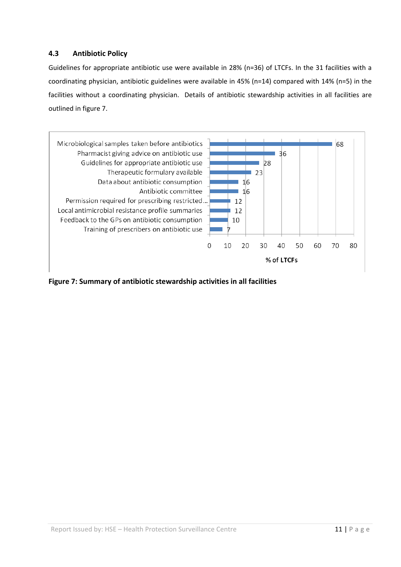## **4.3 Antibiotic Policy**

Guidelines for appropriate antibiotic use were available in 28% (n=36) of LTCFs. In the 31 facilities with a coordinating physician, antibiotic guidelines were available in 45% (n=14) compared with 14% (n=5) in the facilities without a coordinating physician. Details of antibiotic stewardship activities in all facilities are outlined in figure 7.



**Figure 7: Summary of antibiotic stewardship activities in all facilities**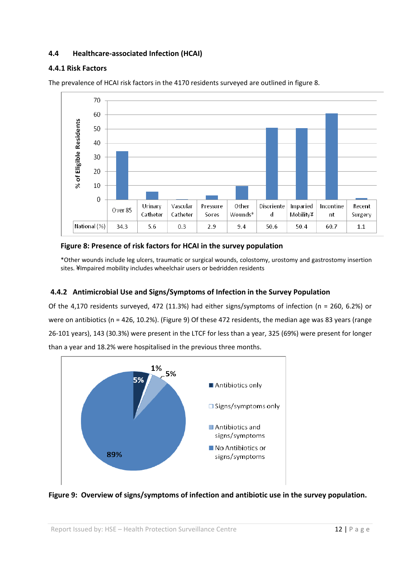## **4.4 Healthcare‐associated Infection (HCAI)**

### **4.4.1 Risk Factors**



The prevalence of HCAI risk factors in the 4170 residents surveyed are outlined in figure 8.

### **Figure 8: Presence of risk factors for HCAI in the survey population**

\*Other wounds include leg ulcers, traumatic or surgical wounds, colostomy, urostomy and gastrostomy insertion sites. ¥Impaired mobility includes wheelchair users or bedridden residents

## **4.4.2 Antimicrobial Use and Signs/Symptoms of Infection in the Survey Population**

Of the 4,170 residents surveyed, 472 (11.3%) had either signs/symptoms of infection (n = 260, 6.2%) or were on antibiotics (n = 426, 10.2%). (Figure 9) Of these 472 residents, the median age was 83 years (range 26‐101 years), 143 (30.3%) were present in the LTCF for less than a year, 325 (69%) were present for longer than a year and 18.2% were hospitalised in the previous three months.



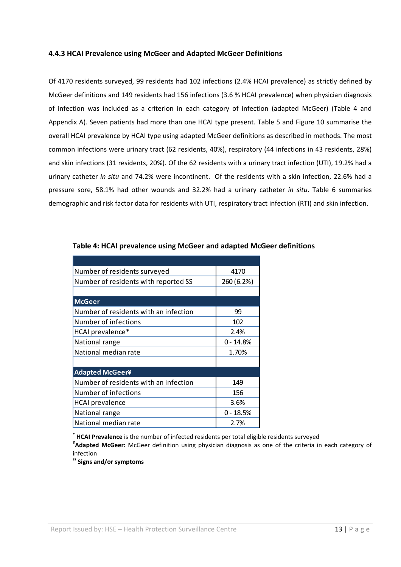#### **4.4.3 HCAI Prevalence using McGeer and Adapted McGeer Definitions**

Of 4170 residents surveyed, 99 residents had 102 infections (2.4% HCAI prevalence) as strictly defined by McGeer definitions and 149 residents had 156 infections (3.6 % HCAI prevalence) when physician diagnosis of infection was included as a criterion in each category of infection (adapted McGeer) (Table 4 and Appendix A). Seven patients had more than one HCAI type present. Table 5 and Figure 10 summarise the overall HCAI prevalence by HCAI type using adapted McGeer definitions as described in methods. The most common infections were urinary tract (62 residents, 40%), respiratory (44 infections in 43 residents, 28%) and skin infections (31 residents, 20%). Of the 62 residents with a urinary tract infection (UTI), 19.2% had a urinary catheter *in situ* and 74.2% were incontinent. Of the residents with a skin infection, 22.6% had a pressure sore, 58.1% had other wounds and 32.2% had a urinary catheter *in situ*. Table 6 summaries demographic and risk factor data for residents with UTI, respiratory tract infection (RTI) and skin infection.

| Number of residents surveyed          | 4170        |
|---------------------------------------|-------------|
| Number of residents with reported SS  | 260 (6.2%)  |
|                                       |             |
| <b>McGeer</b>                         |             |
| Number of residents with an infection | 99          |
| Number of infections                  | 102         |
| HCAI prevalence*                      | 2.4%        |
| National range                        | $0 - 14.8%$ |
| National median rate                  | 1.70%       |
|                                       |             |
| <b>Adapted McGeer¥</b>                |             |
| Number of residents with an infection | 149         |
| Number of infections                  | 156         |
| <b>HCAI</b> prevalence                | 3.6%        |
| National range                        | $0 - 18.5%$ |
| National median rate                  | 2.7%        |

#### **Table 4: HCAI prevalence using McGeer and adapted McGeer definitions**

**\* HCAI Prevalence** is the number of infected residents per total eligible residents surveyed **¥ Adapted McGeer:** McGeer definition using physician diagnosis as one of the criteria in each category of

infection

**ss Signs and/or symptoms**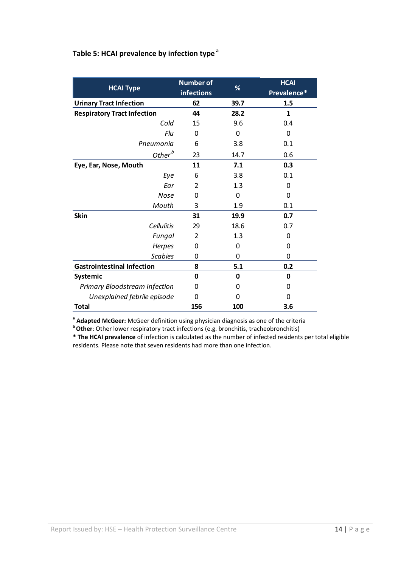## **Table 5: HCAI prevalence by infection type <sup>a</sup>**

| <b>HCAI Type</b>                   | <b>Number of</b><br>infections | %        | <b>HCAI</b><br>Prevalence* |
|------------------------------------|--------------------------------|----------|----------------------------|
| <b>Urinary Tract Infection</b>     | 62                             | 39.7     | 1.5                        |
| <b>Respiratory Tract Infection</b> | 44                             | 28.2     | 1                          |
| Cold                               | 15                             | 9.6      | 0.4                        |
| Flu                                | 0                              | $\Omega$ | 0                          |
| Pneumonia                          | 6                              | 3.8      | 0.1                        |
| Other $^b$                         | 23                             | 14.7     | 0.6                        |
| Eye, Ear, Nose, Mouth              | 11                             | 7.1      | 0.3                        |
| Eye                                | 6                              | 3.8      | 0.1                        |
| Ear                                | $\overline{2}$                 | 1.3      | 0                          |
| Nose                               | 0                              | 0        | 0                          |
| Mouth                              | 3                              | 1.9      | 0.1                        |
| <b>Skin</b>                        | 31                             | 19.9     | 0.7                        |
| <b>Cellulitis</b>                  | 29                             | 18.6     | 0.7                        |
| Fungal                             | 2                              | 1.3      | 0                          |
| Herpes                             | 0                              | 0        | 0                          |
| <b>Scabies</b>                     | 0                              | 0        | 0                          |
| <b>Gastrointestinal Infection</b>  | 8                              | 5.1      | 0.2                        |
| <b>Systemic</b>                    | 0                              | 0        | 0                          |
| Primary Bloodstream Infection      | 0                              | 0        | 0                          |
| Unexplained febrile episode        | 0                              | 0        | 0                          |
| <b>Total</b>                       | 156                            | 100      | 3.6                        |

**<sup>a</sup> Adapted McGeer:** McGeer definition using physician diagnosis as one of the criteria **<sup>b</sup> Other**: Other lower respiratory tract infections (e.g. bronchitis, tracheobronchitis)

**\* The HCAI prevalence** of infection is calculated as the number of infected residents per total eligible residents. Please note that seven residents had more than one infection.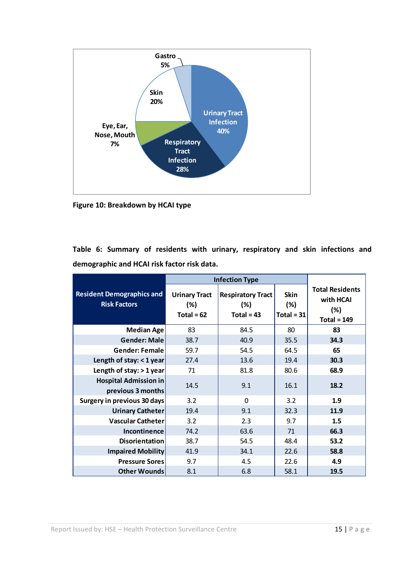

**Figure 10: Breakdown by HCAI type**

**Table 6: Summary of residents with urinary, respiratory and skin infections and demographic and HCAI risk factor risk data.** 

|                                                         | <b>Infection Type</b>                       |                                                 |                                    |                                                             |
|---------------------------------------------------------|---------------------------------------------|-------------------------------------------------|------------------------------------|-------------------------------------------------------------|
| <b>Resident Demographics and</b><br><b>Risk Factors</b> | <b>Urinary Tract</b><br>(%)<br>Total = $62$ | <b>Respiratory Tract</b><br>(%)<br>Total = $43$ | <b>Skin</b><br>(%)<br>Total = $31$ | <b>Total Residents</b><br>with HCAI<br>(%)<br>Total = $149$ |
| <b>Median Age</b>                                       | 83                                          | 84.5                                            | 80                                 | 83                                                          |
| <b>Gender: Male</b>                                     | 38.7                                        | 40.9                                            | 35.5                               | 34.3                                                        |
| <b>Gender: Female</b>                                   | 59.7                                        | 54.5                                            | 64.5                               | 65                                                          |
| Length of stay: < 1 year                                | 27.4                                        | 13.6                                            | 19.4                               | 30.3                                                        |
| Length of stay: $> 1$ year                              | 71                                          | 81.8                                            | 80.6                               | 68.9                                                        |
| <b>Hospital Admission in</b><br>previous 3 months       | 14.5                                        | 9.1                                             | 16.1                               | 18.2                                                        |
| <b>Surgery in previous 30 days</b>                      | 3.2                                         | $\Omega$                                        | 3.2                                | 1.9                                                         |
| <b>Urinary Catheter</b>                                 | 19.4                                        | 9.1                                             | 32.3                               | 11.9                                                        |
| <b>Vascular Catheter</b>                                | 3.2                                         | 2.3                                             | 9.7                                | 1.5                                                         |
| Incontinence                                            | 74.2                                        | 63.6                                            | 71                                 | 66.3                                                        |
| <b>Disorientation</b>                                   | 38.7                                        | 54.5                                            | 48.4                               | 53.2                                                        |
| <b>Impaired Mobility</b>                                | 41.9                                        | 34.1                                            | 22.6                               | 58.8                                                        |
| <b>Pressure Sores</b>                                   | 9.7                                         | 4.5                                             | 22.6                               | 4.9                                                         |
| <b>Other Wounds</b>                                     | 8.1                                         | 6.8                                             | 58.1                               | 19.5                                                        |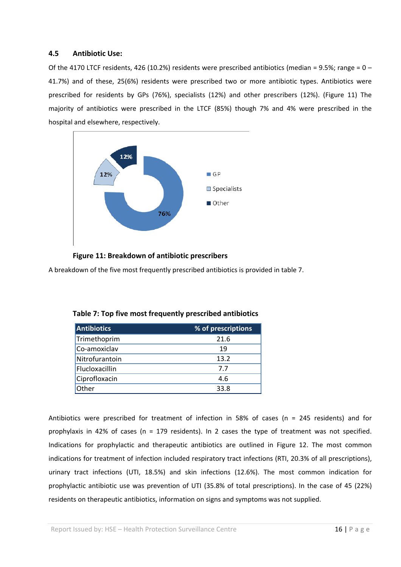#### **4.5 Antibiotic Use:**

Of the 4170 LTCF residents, 426 (10.2%) residents were prescribed antibiotics (median = 9.5%; range =  $0 -$ 41.7%) and of these, 25(6%) residents were prescribed two or more antibiotic types. Antibiotics were prescribed for residents by GPs (76%), specialists (12%) and other prescribers (12%). (Figure 11) The majority of antibiotics were prescribed in the LTCF (85%) though 7% and 4% were prescribed in the hospital and elsewhere, respectively.



#### **Figure 11: Breakdown of antibiotic prescribers**

A breakdown of the five most frequently prescribed antibiotics is provided in table 7.

| <b>Antibiotics</b> | % of prescriptions |
|--------------------|--------------------|
| Trimethoprim       | 21.6               |
| Co-amoxiclav       | 19                 |
| Nitrofurantoin     | 13.2               |
| Flucloxacillin     | 7.7                |
| Ciprofloxacin      | 4.6                |
| Other              | 33.8               |

Antibiotics were prescribed for treatment of infection in 58% of cases (n = 245 residents) and for prophylaxis in 42% of cases (n = 179 residents). In 2 cases the type of treatment was not specified. Indications for prophylactic and therapeutic antibiotics are outlined in Figure 12. The most common indications for treatment of infection included respiratory tract infections (RTI, 20.3% of all prescriptions), urinary tract infections (UTI, 18.5%) and skin infections (12.6%). The most common indication for prophylactic antibiotic use was prevention of UTI (35.8% of total prescriptions). In the case of 45 (22%) residents on therapeutic antibiotics, information on signs and symptoms was not supplied.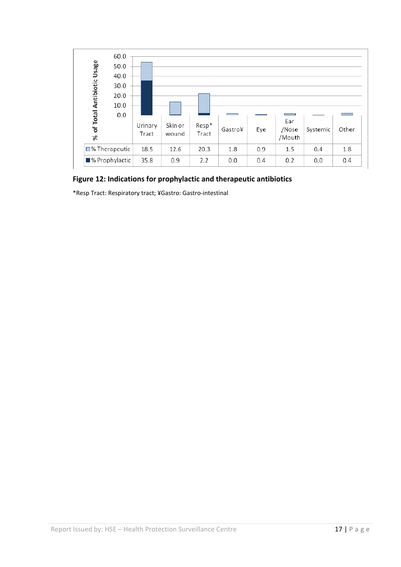

## **Figure 12: Indications for prophylactic and therapeutic antibiotics**

\*Resp Tract: Respiratory tract; ¥Gastro: Gastro‐intestinal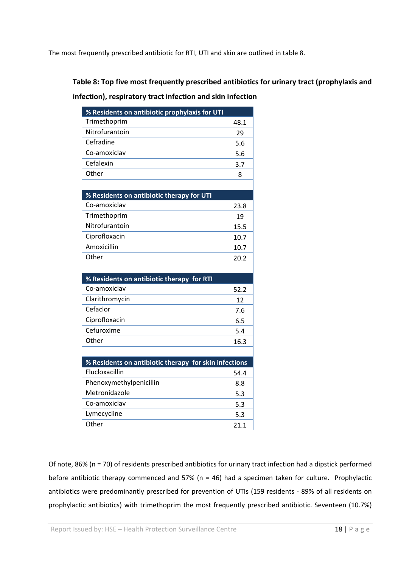The most frequently prescribed antibiotic for RTI, UTI and skin are outlined in table 8.

## **Table 8: Top five most frequently prescribed antibiotics for urinary tract (prophylaxis and**

### **infection), respiratory tract infection and skin infection**

| % Residents on antibiotic prophylaxis for UTI         |      |
|-------------------------------------------------------|------|
| Trimethoprim                                          | 48.1 |
| Nitrofurantoin                                        | 29   |
| Cefradine                                             | 5.6  |
| Co-amoxiclav                                          | 5.6  |
| Cefalexin                                             | 3.7  |
| Other                                                 | 8    |
|                                                       |      |
| % Residents on antibiotic therapy for UTI             |      |
| Co-amoxiclav                                          | 23.8 |
| Trimethoprim                                          | 19   |
| Nitrofurantoin                                        | 15.5 |
| Ciprofloxacin                                         | 10.7 |
| Amoxicillin                                           | 10.7 |
| Other                                                 | 20.2 |
|                                                       |      |
| % Residents on antibiotic therapy for RTI             |      |
| Co-amoxiclav                                          | 52.2 |
| Clarithromycin                                        | 12   |
| Cefaclor                                              | 7.6  |
| Ciprofloxacin                                         | 6.5  |
| Cefuroxime                                            | 5.4  |
| Other                                                 | 16.3 |
|                                                       |      |
| % Residents on antibiotic therapy for skin infections |      |
| Flucloxacillin                                        | 54.4 |
| Phenoxymethylpenicillin                               | 8.8  |
| Metronidazole                                         | 5.3  |
| Co-amoxiclav                                          | 5.3  |
| Lymecycline                                           | 5.3  |
| Other                                                 | 21.1 |

Of note, 86% (n = 70) of residents prescribed antibiotics for urinary tract infection had a dipstick performed before antibiotic therapy commenced and 57% (n = 46) had a specimen taken for culture. Prophylactic antibiotics were predominantly prescribed for prevention of UTIs (159 residents - 89% of all residents on prophylactic antibiotics) with trimethoprim the most frequently prescribed antibiotic. Seventeen (10.7%)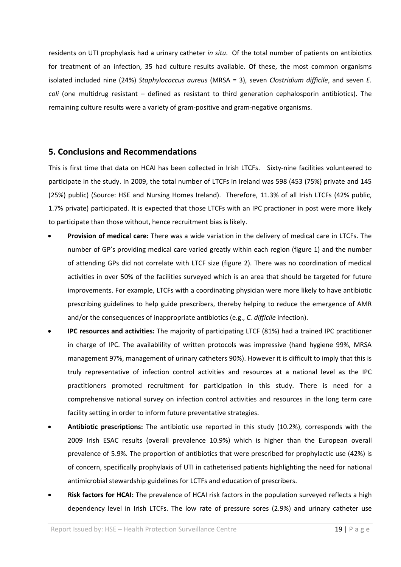residents on UTI prophylaxis had a urinary catheter *in situ*. Of the total number of patients on antibiotics for treatment of an infection, 35 had culture results available. Of these, the most common organisms isolated included nine (24%) *Staphylococcus aureus* (MRSA = 3), seven *Clostridium difficile*, and seven *E. coli* (one multidrug resistant – defined as resistant to third generation cephalosporin antibiotics). The remaining culture results were a variety of gram‐positive and gram‐negative organisms.

### **5. Conclusions and Recommendations**

This is first time that data on HCAI has been collected in Irish LTCFs. Sixty-nine facilities volunteered to participate in the study. In 2009, the total number of LTCFs in Ireland was 598 (453 (75%) private and 145 (25%) public) (Source: HSE and Nursing Homes Ireland). Therefore, 11.3% of all Irish LTCFs (42% public, 1.7% private) participated. It is expected that those LTCFs with an IPC practioner in post were more likely to participate than those without, hence recruitment bias is likely.

- **Provision of medical care:** There was a wide variation in the delivery of medical care in LTCFs. The number of GP's providing medical care varied greatly within each region (figure 1) and the number of attending GPs did not correlate with LTCF size (figure 2). There was no coordination of medical activities in over 50% of the facilities surveyed which is an area that should be targeted for future improvements. For example, LTCFs with a coordinating physician were more likely to have antibiotic prescribing guidelines to help guide prescribers, thereby helping to reduce the emergence of AMR and/or the consequences of inappropriate antibiotics (e.g., *C. difficile* infection).
- **IPC resources and activities:** The majority of participating LTCF (81%) had a trained IPC practitioner in charge of IPC. The availablility of written protocols was impressive (hand hygiene 99%, MRSA management 97%, management of urinary catheters 90%). However it is difficult to imply that this is truly representative of infection control activities and resources at a national level as the IPC practitioners promoted recruitment for participation in this study. There is need for a comprehensive national survey on infection control activities and resources in the long term care facility setting in order to inform future preventative strategies.
- **Antibiotic prescriptions:** The antibiotic use reported in this study (10.2%), corresponds with the 2009 Irish ESAC results (overall prevalence 10.9%) which is higher than the European overall prevalence of 5.9%. The proportion of antibiotics that were prescribed for prophylactic use (42%) is of concern, specifically prophylaxis of UTI in catheterised patients highlighting the need for national antimicrobial stewardship guidelines for LCTFs and education of prescribers.
- **Risk factors for HCAI:** The prevalence of HCAI risk factors in the population surveyed reflects a high dependency level in Irish LTCFs. The low rate of pressure sores (2.9%) and urinary catheter use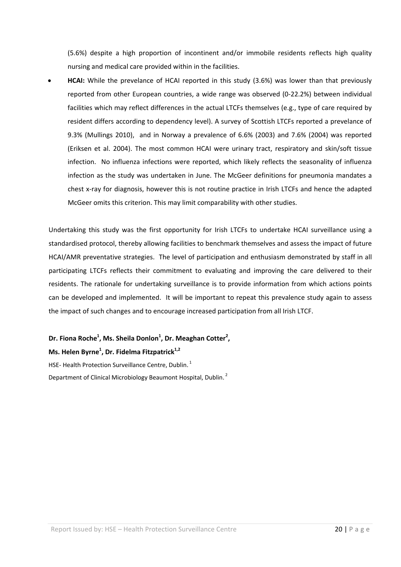(5.6%) despite a high proportion of incontinent and/or immobile residents reflects high quality nursing and medical care provided within in the facilities.

• **HCAI:** While the prevelance of HCAI reported in this study (3.6%) was lower than that previously reported from other European countries, a wide range was observed (0‐22.2%) between individual facilities which may reflect differences in the actual LTCFs themselves (e.g., type of care required by resident differs according to dependency level). A survey of Scottish LTCFs reported a prevelance of 9.3% (Mullings 2010), and in Norway a prevalence of 6.6% (2003) and 7.6% (2004) was reported (Eriksen et al. 2004). The most common HCAI were urinary tract, respiratory and skin/soft tissue infection. No influenza infections were reported, which likely reflects the seasonality of influenza infection as the study was undertaken in June. The McGeer definitions for pneumonia mandates a chest x‐ray for diagnosis, however this is not routine practice in Irish LTCFs and hence the adapted McGeer omits this criterion. This may limit comparability with other studies.

Undertaking this study was the first opportunity for Irish LTCFs to undertake HCAI surveillance using a standardised protocol, thereby allowing facilities to benchmark themselves and assess the impact of future HCAI/AMR preventative strategies. The level of participation and enthusiasm demonstrated by staff in all participating LTCFs reflects their commitment to evaluating and improving the care delivered to their residents. The rationale for undertaking surveillance is to provide information from which actions points can be developed and implemented. It will be important to repeat this prevalence study again to assess the impact of such changes and to encourage increased participation from all Irish LTCF.

## **Dr. Fiona Roche1 , Ms. Sheila Donlon<sup>1</sup> , Dr. Meaghan Cotter2 ,**

#### **Ms. Helen Byrne1 , Dr. Fidelma Fitzpatrick1,2**

HSE- Health Protection Surveillance Centre, Dublin.<sup>1</sup> Department of Clinical Microbiology Beaumont Hospital, Dublin.<sup>2</sup>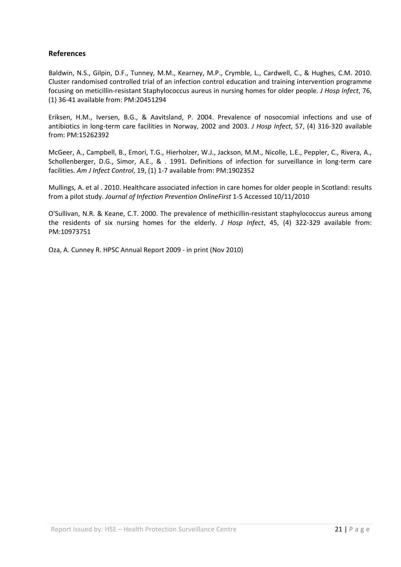### **References**

Baldwin, N.S., Gilpin, D.F., Tunney, M.M., Kearney, M.P., Crymble, L., Cardwell, C., & Hughes, C.M. 2010. Cluster randomised controlled trial of an infection control education and training intervention programme focusing on meticillin‐resistant Staphylococcus aureus in nursing homes for older people. *J Hosp Infect*, 76, (1) 36‐41 available from: PM:20451294

Eriksen, H.M., Iversen, B.G., & Aavitsland, P. 2004. Prevalence of nosocomial infections and use of antibiotics in long‐term care facilities in Norway, 2002 and 2003. *J Hosp Infect*, 57, (4) 316‐320 available from: PM:15262392

McGeer, A., Campbell, B., Emori, T.G., Hierholzer, W.J., Jackson, M.M., Nicolle, L.E., Peppler, C., Rivera, A., Schollenberger, D.G., Simor, A.E., & . 1991. Definitions of infection for surveillance in long-term care facilities. *Am J Infect Control*, 19, (1) 1‐7 available from: PM:1902352

Mullings, A. et al . 2010. Healthcare associated infection in care homes for older people in Scotland: results from a pilot study. *Journal of Infection Prevention OnlineFirst* 1‐5 Accessed 10/11/2010

O'Sullivan, N.R. & Keane, C.T. 2000. The prevalence of methicillin‐resistant staphylococcus aureus among the residents of six nursing homes for the elderly. *J Hosp Infect*, 45, (4) 322‐329 available from: PM:10973751

Oza, A. Cunney R. HPSC Annual Report 2009 ‐ in print (Nov 2010)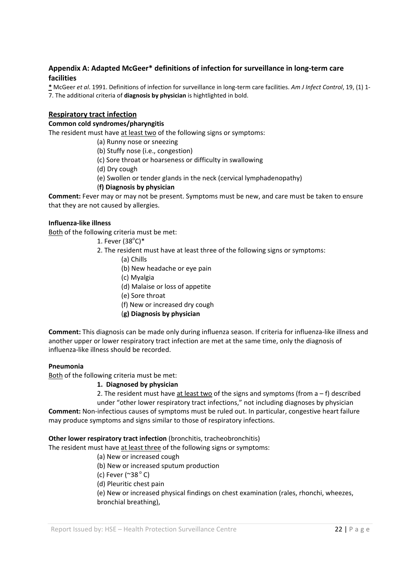#### **Appendix A: Adapted McGeer\* definitions of infection for surveillance in long‐term care facilities**

**\*** McGeer *et al*. 1991. Definitions of infection for surveillance in long‐term care facilities. *Am J Infect Control*, 19, (1) 1‐ 7. The additional criteria of **diagnosis by physician** is hightlighted in bold.

#### **Respiratory tract infection**

#### **Common cold syndromes/pharyngitis**

The resident must have at least two of the following signs or symptoms:

- (a) Runny nose or sneezing
- (b) Stuffy nose (i.e., congestion)
- (c) Sore throat or hoarseness or difficulty in swallowing
- (d) Dry cough
- (e) Swollen or tender glands in the neck (cervical lymphadenopathy)
- (**f) Diagnosis by physician**

**Comment:** Fever may or may not be present. Symptoms must be new, and care must be taken to ensure that they are not caused by allergies.

#### **Influenza‐like illness**

Both of the following criteria must be met:

- 1. Fever  $(38^{\circ}C)^*$
- 2. The resident must have at least three of the following signs or symptoms:
	- (a) Chills
	- (b) New headache or eye pain
	- (c) Myalgia
	- (d) Malaise or loss of appetite
	- (e) Sore throat
	- (f) New or increased dry cough
	- (**g) Diagnosis by physician**

**Comment:** This diagnosis can be made only during influenza season. If criteria for influenza‐like illness and another upper or lower respiratory tract infection are met at the same time, only the diagnosis of influenza‐like illness should be recorded.

#### **Pneumonia**

Both of the following criteria must be met:

#### **1. Diagnosed by physician**

2. The resident must have at least two of the signs and symptoms (from  $a - f$ ) described

under "other lower respiratory tract infections," not including diagnoses by physician **Comment:** Non‐infectious causes of symptoms must be ruled out. In particular, congestive heart failure

may produce symptoms and signs similar to those of respiratory infections.

#### **Other lower respiratory tract infection** (bronchitis, tracheobronchitis)

The resident must have at least three of the following signs or symptoms:

- (a) New or increased cough
- (b) New or increased sputum production
- (c) Fever ( $\approx 38^\circ$  C)
- (d) Pleuritic chest pain

(e) New or increased physical findings on chest examination (rales, rhonchi, wheezes, bronchial breathing),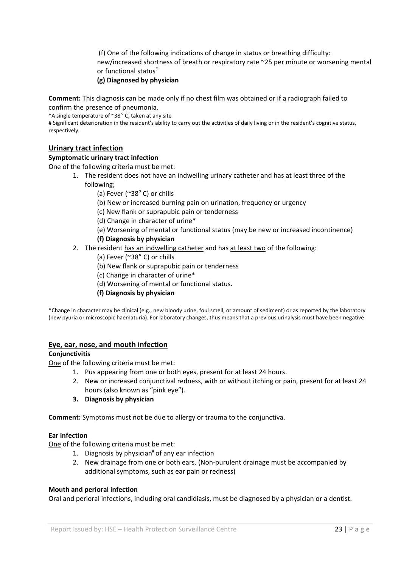(f) One of the following indications of change in status or breathing difficulty: new/increased shortness of breath or respiratory rate ~25 per minute or worsening mental or functional status $^{\texttt{\#}}$ 

#### **(g) Diagnosed by physician**

**Comment:** This diagnosis can be made only if no chest film was obtained or if a radiograph failed to confirm the presence of pneumonia.

\*A single temperature of  $\sim 38^\circ$  C, taken at any site

# Significant deterioration in the resident's ability to carry out the activities of daily living or in the resident's cognitive status, respectively.

#### **Urinary tract infection**

#### **Symptomatic urinary tract infection**

One of the following criteria must be met:

- 1. The resident does not have an indwelling urinary catheter and has at least three of the following;
	- (a) Fever ( $^{\sim}38^{\circ}$  C) or chills
	- (b) New or increased burning pain on urination, frequency or urgency
	- (c) New flank or suprapubic pain or tenderness
	- (d) Change in character of urine\*
	- (e) Worsening of mental or functional status (may be new or increased incontinence)

#### **(f) Diagnosis by physician**

- 2. The resident has an indwelling catheter and has at least two of the following:
	- (a) Fever (~38" C) or chills
	- (b) New flank or suprapubic pain or tenderness
	- (c) Change in character of urine\*
	- (d) Worsening of mental or functional status.
	- **(f) Diagnosis by physician**

\*Change in character may be clinical (e.g., new bloody urine, foul smell, or amount of sediment) or as reported by the laboratory (new pyuria or microscopic haematuria). For laboratory changes, thus means that a previous urinalysis must have been negative

#### **Eye, ear, nose, and mouth infection**

#### **Conjunctivitis**

One of the following criteria must be met:

- 1. Pus appearing from one or both eyes, present for at least 24 hours.
- 2. New or increased conjunctival redness, with or without itching or pain, present for at least 24 hours (also known as "pink eye").
- **3. Diagnosis by physician**

**Comment:** Symptoms must not be due to allergy or trauma to the conjunctiva.

#### **Ear infection**

One of the following criteria must be met:

- 1. Diagnosis by physician<sup>#</sup> of any ear infection
- 2. New drainage from one or both ears. (Non-purulent drainage must be accompanied by additional symptoms, such as ear pain or redness)

#### **Mouth and perioral infection**

Oral and perioral infections, including oral candidiasis, must be diagnosed by a physician or a dentist.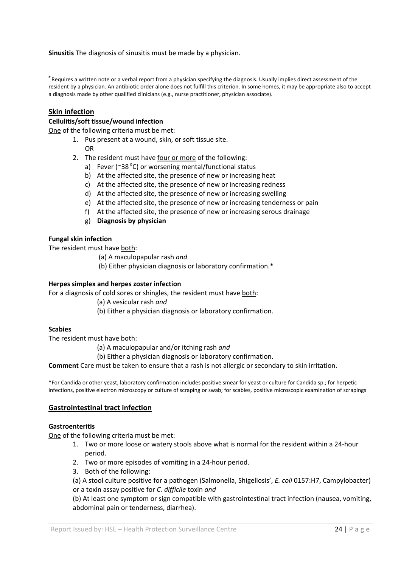**Sinusitis** The diagnosis of sinusitis must be made by a physician.

# Requires a written note or a verbal report from a physician specifying the diagnosis. Usually implies direct assessment of the resident by a physician. An antibiotic order alone does not fulfill this criterion. In some homes, it may be appropriate also to accept a diagnosis made by other qualified clinicians (e.g., nurse practitioner, physician associate).

#### **Skin infection**

#### **Cellulitis/soft tissue/wound infection**

One of the following criteria must be met:

- 1. Pus present at a wound, skin, or soft tissue site.
	- OR
- 2. The resident must have four or more of the following:
	- a) Fever (~38 $^{\circ}$ C) or worsening mental/functional status
	- b) At the affected site, the presence of new or increasing heat
	- c) At the affected site, the presence of new or increasing redness
	- d) At the affected site, the presence of new or increasing swelling
	- e) At the affected site, the presence of new or increasing tenderness or pain
	- f) At the affected site, the presence of new or increasing serous drainage
	- g) **Diagnosis by physician**

#### **Fungal skin infection**

The resident must have both:

- (a) A maculopapular rash *and*
- (b) Either physician diagnosis or laboratory confirmation.\*

#### **Herpes simplex and herpes zoster infection**

For a diagnosis of cold sores or shingles, the resident must have both:

- (a) A vesicular rash *and*
- (b) Either a physician diagnosis or laboratory confirmation.

#### **Scabies**

The resident must have both:

(a) A maculopapular and/or itching rash *and* 

(b) Either a physician diagnosis or laboratory confirmation.

**Comment** Care must be taken to ensure that a rash is not allergic or secondary to skin irritation.

\*For Candida or other yeast, laboratory confirmation includes positive smear for yeast or culture for Candida sp.; for herpetic infections, positive electron microscopy or culture of scraping or swab; for scabies, positive microscopic examination of scrapings

#### **Gastrointestinal tract infection**

#### **Gastroenteritis**

One of the following criteria must be met:

- 1. Two or more loose or watery stools above what is normal for the resident within a 24‐hour period.
- 2. Two or more episodes of vomiting in a 24‐hour period.
- 3. Both of the following:

(a) A stool culture positive for a pathogen (Salmonella, Shigellosis', *E. coli* 0157:H7, Campylobacter) or a toxin assay positive for *C. difficile* toxin *and*

(b) At least one symptom or sign compatible with gastrointestinal tract infection (nausea, vomiting, abdominal pain or tenderness, diarrhea).